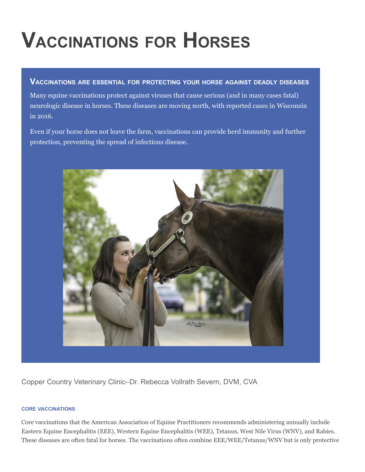# **VACCINATIONS FOR HORSES**

#### **VACCINATIONS ARE ESSENTIAL FOR PROTECTING YOUR HORSE AGAINST DEADLY DISEASES**

Many equine vaccinations protect against viruses that cause serious (and in many cases fatal) neurologic disease in horses. These diseases are moving north, with reported cases in Wisconsin in 2016.

Even if your horse does not leave the farm, vaccinations can provide herd immunity and further protection, preventing the spread of infectious disease.



Copper Country Veterinary Clinic–Dr. Rebecca Vollrath Severn, DVM, CVA

#### **CORE VACCINATIONS**

Core vaccinations that the American Association of Equine Practitioners recommends administering annually include Eastern Equine Encephalitis (EEE), Western Equine Encephalitis (WEE), Tetanus, West Nile Virus (WNV), and Rabies. These diseases are often fatal for horses. The vaccinations often combine EEE/WEE/Tetanus/WNV but is only protective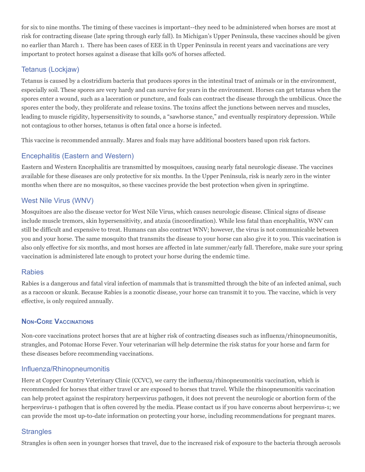for six to nine months. The timing of these vaccines is important--they need to be administered when horses are most at risk for contracting disease (late spring through early fall). In Michigan's Upper Peninsula, these vaccines should be given no earlier than March 1. There has been cases of EEE in th Upper Peninsula in recent years and vaccinations are very important to protect horses against a disease that kills 90% of horses affected.

### Tetanus (Lockjaw)

Tetanus is caused by a clostridium bacteria that produces spores in the intestinal tract of animals or in the environment, especially soil. These spores are very hardy and can survive for years in the environment. Horses can get tetanus when the spores enter a wound, such as a laceration or puncture, and foals can contract the disease through the umbilicus. Once the spores enter the body, they proliferate and release toxins. The toxins affect the junctions between nerves and muscles, leading to muscle rigidity, hypersensitivity to sounds, a "sawhorse stance," and eventually respiratory depression. While not contagious to other horses, tetanus is often fatal once a horse is infected.

This vaccine is recommended annually. Mares and foals may have additional boosters based upon risk factors.

### Encephalitis (Eastern and Western)

Eastern and Western Encephalitis are transmitted by mosquitoes, causing nearly fatal neurologic disease. The vaccines available for these diseases are only protective for six months. In the Upper Peninsula, risk is nearly zero in the winter months when there are no mosquitos, so these vaccines provide the best protection when given in springtime.

### West Nile Virus (WNV)

Mosquitoes are also the disease vector for West Nile Virus, which causes neurologic disease. Clinical signs of disease include muscle tremors, skin hypersensitivity, and ataxia (incoordination). While less fatal than encephalitis, WNV can still be difficult and expensive to treat. Humans can also contract WNV; however, the virus is not communicable between you and your horse. The same mosquito that transmits the disease to your horse can also give it to you. This vaccination is also only effective for six months, and most horses are affected in late summer/early fall. Therefore, make sure your spring vaccination is administered late enough to protect your horse during the endemic time.

#### Rabies

Rabies is a dangerous and fatal viral infection of mammals that is transmitted through the bite of an infected animal, such as a raccoon or skunk. Because Rabies is a zoonotic disease, your horse can transmit it to you. The vaccine, which is very effective, is only required annually.

#### **NON-CORE VACCINATIONS**

Non-core vaccinations protect horses that are at higher risk of contracting diseases such as influenza/rhinopneumonitis, strangles, and Potomac Horse Fever. Your veterinarian will help determine the risk status for your horse and farm for these diseases before recommending vaccinations.

#### Influenza/Rhinopneumonitis

Here at Copper Country Veterinary Clinic (CCVC), we carry the influenza/rhinopneumonitis vaccination, which is recommended for horses that either travel or are exposed to horses that travel. While the rhinopneumonitis vaccination can help protect against the respiratory herpesvirus pathogen, it does not prevent the neurologic or abortion form of the herpesvirus-1 pathogen that is often covered by the media. Please contact us if you have concerns about herpesvirus-1; we can provide the most up-to-date information on protecting your horse, including recommendations for pregnant mares.

#### **Strangles**

Strangles is often seen in younger horses that travel, due to the increased risk of exposure to the bacteria through aerosols